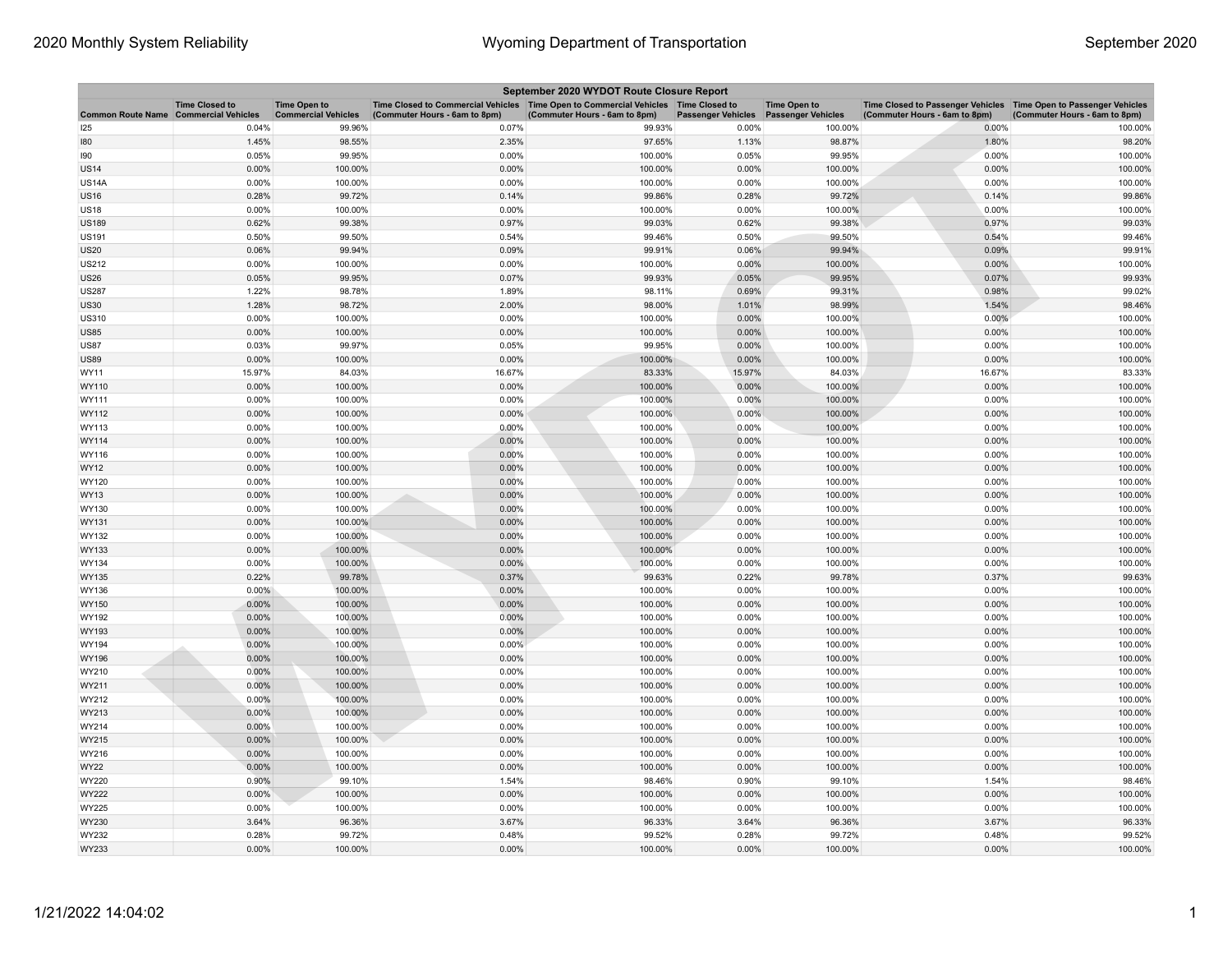| September 2020 WYDOT Route Closure Report    |                       |                                                   |                                                                                                                         |                               |                                        |                     |                                                                                                      |                               |  |  |
|----------------------------------------------|-----------------------|---------------------------------------------------|-------------------------------------------------------------------------------------------------------------------------|-------------------------------|----------------------------------------|---------------------|------------------------------------------------------------------------------------------------------|-------------------------------|--|--|
| <b>Common Route Name Commercial Vehicles</b> | <b>Time Closed to</b> | <b>Time Open to</b><br><b>Commercial Vehicles</b> | Time Closed to Commercial Vehicles   Time Open to Commercial Vehicles   Time Closed to<br>(Commuter Hours - 6am to 8pm) | (Commuter Hours - 6am to 8pm) | Passenger Vehicles  Passenger Vehicles | <b>Time Open to</b> | Time Closed to Passenger Vehicles   Time Open to Passenger Vehicles<br>(Commuter Hours - 6am to 8pm) | (Commuter Hours - 6am to 8pm) |  |  |
| 25                                           | 0.04%                 | 99.96%                                            | 0.07%                                                                                                                   | 99.93%                        | 0.00%                                  | 100.00%             | 0.00%                                                                                                | 100.00%                       |  |  |
| 80                                           | 1.45%                 | 98.55%                                            | 2.35%                                                                                                                   | 97.65%                        | 1.13%                                  | 98.87%              | 1.80%                                                                                                | 98.20%                        |  |  |
| 190                                          | 0.05%                 | 99.95%                                            | 0.00%                                                                                                                   | 100.00%                       | 0.05%                                  | 99.95%              | 0.00%                                                                                                | 100.00%                       |  |  |
| <b>US14</b>                                  | 0.00%                 | 100.00%                                           | 0.00%                                                                                                                   | 100.00%                       | 0.00%                                  | 100.00%             | 0.00%                                                                                                | 100.00%                       |  |  |
| US <sub>14</sub> A                           | 0.00%                 | 100.00%                                           | 0.00%                                                                                                                   | 100.00%                       | 0.00%                                  | 100.00%             | 0.00%                                                                                                | 100.00%                       |  |  |
| <b>JS16</b>                                  | 0.28%                 | 99.72%                                            | 0.14%                                                                                                                   | 99.86%                        | 0.28%                                  | 99.72%              | 0.14%                                                                                                | 99.86%                        |  |  |
| <b>US18</b>                                  | 0.00%                 | 100.00%                                           | 0.00%                                                                                                                   | 100.00%                       | 0.00%                                  | 100.00%             | 0.00%                                                                                                | 100.00%                       |  |  |
| <b>US189</b>                                 | 0.62%                 | 99.38%                                            | 0.97%                                                                                                                   | 99.03%                        | 0.62%                                  | 99.38%              | 0.97%                                                                                                | 99.03%                        |  |  |
| <b>US191</b>                                 | 0.50%                 | 99.50%                                            | 0.54%                                                                                                                   | 99.46%                        | 0.50%                                  | 99.50%              | 0.54%                                                                                                | 99.46%                        |  |  |
| <b>JS20</b>                                  | 0.06%                 | 99.94%                                            | 0.09%                                                                                                                   | 99.91%                        | 0.06%                                  | 99.94%              | 0.09%                                                                                                | 99.91%                        |  |  |
| US212                                        | 0.00%                 | 100.00%                                           | 0.00%                                                                                                                   | 100.00%                       | 0.00%                                  | 100.00%             | 0.00%                                                                                                | 100.00%                       |  |  |
| US26                                         | 0.05%                 | 99.95%                                            | 0.07%                                                                                                                   | 99.93%                        | 0.05%                                  | 99.95%              | 0.07%                                                                                                | 99.93%                        |  |  |
| <b>JS287</b>                                 | 1.22%                 | 98.78%                                            | 1.89%                                                                                                                   | 98.11%                        | 0.69%                                  | 99.31%              | 0.98%                                                                                                | 99.02%                        |  |  |
| <b>JS30</b>                                  | 1.28%                 | 98.72%                                            | 2.00%                                                                                                                   | 98.00%                        | 1.01%                                  | 98.99%              | 1.54%                                                                                                | 98.46%                        |  |  |
| US310                                        | 0.00%                 | 100.00%                                           | 0.00%                                                                                                                   | 100.00%                       | 0.00%                                  | 100.00%             | 0.00%                                                                                                | 100.00%                       |  |  |
| <b>JS85</b>                                  | 0.00%                 | 100.00%                                           | 0.00%                                                                                                                   | 100.00%                       | 0.00%                                  | 100.00%             | 0.00%                                                                                                | 100.00%                       |  |  |
| <b>JS87</b>                                  | 0.03%                 | 99.97%                                            | 0.05%                                                                                                                   | 99.95%                        | 0.00%                                  | 100.00%             | 0.00%                                                                                                | 100.00%                       |  |  |
| <b>JS89</b>                                  | 0.00%                 | 100.00%                                           | 0.00%                                                                                                                   | 100.00%                       | 0.00%                                  | 100.00%             | 0.00%                                                                                                | 100.00%                       |  |  |
| WY11                                         | 15.97%                | 84.03%                                            | 16.67%                                                                                                                  | 83.33%                        | 15.97%                                 | 84.03%              | 16.67%                                                                                               | 83.33%                        |  |  |
| WY110                                        | 0.00%                 | 100.00%                                           | 0.00%                                                                                                                   | 100.00%                       | 0.00%                                  | 100.00%             | 0.00%                                                                                                | 100.00%                       |  |  |
| WY111                                        | 0.00%                 | 100.00%                                           | 0.00%                                                                                                                   | 100.00%                       | 0.00%                                  | 100.00%             | 0.00%                                                                                                | 100.00%                       |  |  |
| WY112                                        | 0.00%                 | 100.00%                                           | 0.00%                                                                                                                   | 100.00%                       | $0.00\%$                               | 100.00%             | 0.00%                                                                                                | 100.00%                       |  |  |
| WY113                                        | 0.00%                 | 100.00%                                           | 0.00%                                                                                                                   | 100.00%                       | 0.00%                                  | 100.00%             | 0.00%                                                                                                | 100.00%                       |  |  |
| WY114                                        | $0.00\%$              | 100.00%                                           | 0.00%                                                                                                                   | 100.00%                       | 0.00%                                  | 100.00%             | 0.00%                                                                                                | 100.00%                       |  |  |
| WY116                                        | 0.00%                 | 100.00%                                           | 0.00%                                                                                                                   | 100.00%                       | 0.00%                                  | 100.00%             | 0.00%                                                                                                | 100.00%                       |  |  |
| WY12                                         | 0.00%                 | 100.00%                                           | 0.00%                                                                                                                   | 100.00%                       | 0.00%                                  | 100.00%             | 0.00%                                                                                                | 100.00%                       |  |  |
| WY120                                        | 0.00%                 | 100.00%                                           | 0.00%                                                                                                                   | 100.00%                       | 0.00%                                  | 100.00%             | 0.00%                                                                                                | 100.00%                       |  |  |
| WY13                                         | 0.00%                 | 100.00%                                           | 0.00%                                                                                                                   | 100.00%                       | 0.00%                                  | 100.00%             | 0.00%                                                                                                | 100.00%                       |  |  |
| WY130                                        | 0.00%                 | 100.00%                                           | 0.00%                                                                                                                   | 100.00%                       | 0.00%                                  | 100.00%             | 0.00%                                                                                                | 100.00%                       |  |  |
| WY131                                        | 0.00%                 | 100.00%                                           | 0.00%                                                                                                                   | 100.00%                       | 0.00%                                  | 100.00%             | 0.00%                                                                                                | 100.00%                       |  |  |
| WY132                                        | 0.00%                 | 100.00%                                           | 0.00%                                                                                                                   | 100.00%                       | 0.00%                                  | 100.00%             | 0.00%                                                                                                | 100.00%                       |  |  |
| WY133                                        | 0.00%                 | 100.00%                                           | 0.00%                                                                                                                   | 100.00%                       | 0.00%                                  | 100.00%             | 0.00%                                                                                                | 100.00%                       |  |  |
| WY134                                        | 0.00%                 | 100.00%                                           | 0.00%                                                                                                                   | 100.00%                       | 0.00%                                  | 100.00%             | 0.00%                                                                                                | 100.00%                       |  |  |
| WY135                                        | 0.22%                 | 99.78%                                            | 0.37%                                                                                                                   | 99.63%                        | 0.22%                                  | 99.78%              | 0.37%                                                                                                | 99.63%                        |  |  |
| WY136                                        | $0.00\%$              | 100.00%                                           | 0.00%                                                                                                                   | 100.00%                       | 0.00%                                  | 100.00%             | 0.00%                                                                                                | 100.00%                       |  |  |
| WY150                                        | 0.00%                 | 100.00%                                           | 0.00%                                                                                                                   | 100.00%                       | 0.00%                                  | 100.00%             | 0.00%                                                                                                | 100.00%                       |  |  |
| WY192                                        | 0.00%                 | 100.00%                                           | 0.00%                                                                                                                   | 100.00%                       | 0.00%                                  | 100.00%             | 0.00%                                                                                                | 100.00%                       |  |  |
| WY193                                        | 0.00%                 | 100.00%                                           | 0.00%                                                                                                                   | 100.00%                       | 0.00%                                  | 100.00%             | 0.00%                                                                                                | 100.00%                       |  |  |
| WY194                                        | 0.00%                 | 100.00%                                           | 0.00%                                                                                                                   | 100.00%                       | 0.00%                                  | 100.00%             | 0.00%                                                                                                | 100.00%                       |  |  |
| WY196                                        | 0.00%                 | 100.00%                                           | 0.00%                                                                                                                   | 100.00%                       | 0.00%                                  | 100.00%             | 0.00%                                                                                                | 100.00%                       |  |  |
| WY210                                        | 0.00%                 | 100.00%                                           | 0.00%                                                                                                                   | 100.00%                       | 0.00%                                  | 100.00%             | 0.00%                                                                                                | 100.00%                       |  |  |
| WY211                                        | 0.00%                 | 100.00%                                           | 0.00%                                                                                                                   | 100.00%                       | 0.00%                                  | 100.00%             | 0.00%                                                                                                | 100.00%                       |  |  |
| WY212                                        | 0.00%                 | 100.00%                                           | 0.00%                                                                                                                   | 100.00%                       | 0.00%                                  | 100.00%             | 0.00%                                                                                                | 100.00%                       |  |  |
| WY213                                        | 0.00%                 | 100.00%                                           | 0.00%                                                                                                                   | 100.00%                       | 0.00%                                  | 100.00%             | 0.00%                                                                                                | 100.00%                       |  |  |
| WY214                                        | 0.00%                 | 100.00%                                           | 0.00%                                                                                                                   | 100.00%                       | 0.00%                                  | 100.00%             | 0.00%                                                                                                | 100.00%                       |  |  |
| WY215                                        | 0.00%                 | 100.00%                                           | 0.00%                                                                                                                   | 100.00%                       | 0.00%                                  | 100.00%             | 0.00%                                                                                                | 100.00%                       |  |  |
| WY216                                        | 0.00%                 | 100.00%                                           | 0.00%                                                                                                                   | 100.00%                       | 0.00%                                  | 100.00%             | 0.00%                                                                                                | 100.00%                       |  |  |
| WY22                                         | 0.00%                 | 100.00%                                           | 0.00%                                                                                                                   | 100.00%                       | 0.00%                                  | 100.00%             | 0.00%                                                                                                | 100.00%                       |  |  |
| WY220                                        | 0.90%                 | 99.10%                                            | 1.54%                                                                                                                   | 98.46%                        | 0.90%                                  | 99.10%              | 1.54%                                                                                                | 98.46%                        |  |  |
| WY222                                        | $0.00\%$              | 100.00%                                           | 0.00%                                                                                                                   | 100.00%                       | 0.00%                                  | 100.00%             | 0.00%                                                                                                | 100.00%                       |  |  |
| WY225                                        | 0.00%                 | 100.00%                                           | 0.00%                                                                                                                   | 100.00%                       | 0.00%                                  | 100.00%             | 0.00%                                                                                                | 100.00%                       |  |  |
| WY230                                        | 3.64%                 | 96.36%                                            | 3.67%                                                                                                                   | 96.33%                        | 3.64%                                  | 96.36%              | 3.67%                                                                                                | 96.33%                        |  |  |
| WY232                                        | 0.28%                 | 99.72%                                            | 0.48%                                                                                                                   | 99.52%                        | 0.28%                                  | 99.72%              | 0.48%                                                                                                | 99.52%                        |  |  |
| WY233                                        | 0.00%                 | 100.00%                                           | 0.00%                                                                                                                   | 100.00%                       | 0.00%                                  | 100.00%             | 0.00%                                                                                                | 100.00%                       |  |  |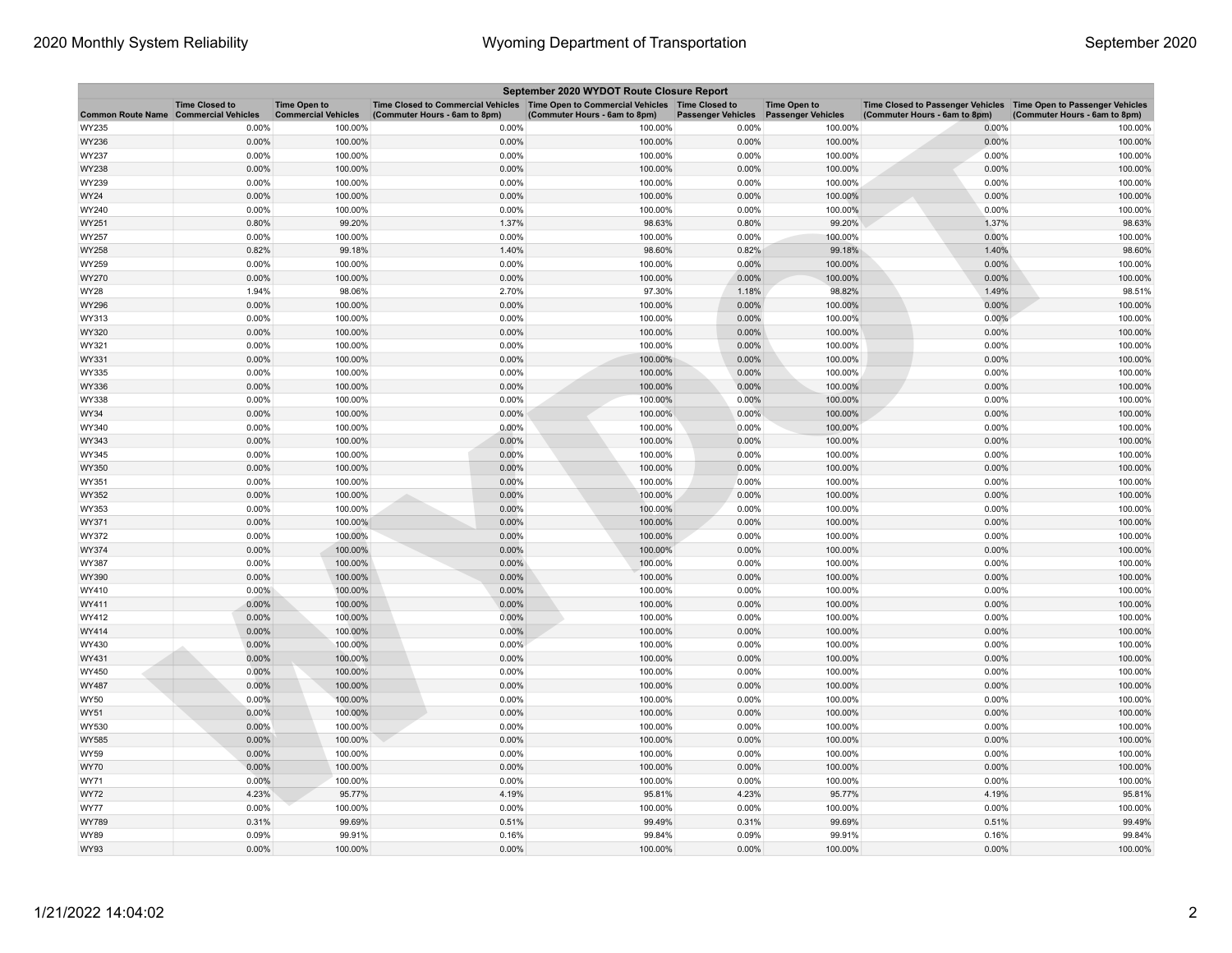| September 2020 WYDOT Route Closure Report |                                                     |                                                   |                                                                                                                         |                               |                           |                                                  |                                                                                                      |                               |  |  |
|-------------------------------------------|-----------------------------------------------------|---------------------------------------------------|-------------------------------------------------------------------------------------------------------------------------|-------------------------------|---------------------------|--------------------------------------------------|------------------------------------------------------------------------------------------------------|-------------------------------|--|--|
| <b>Common Route Name</b>                  | <b>Time Closed to</b><br><b>Commercial Vehicles</b> | <b>Time Open to</b><br><b>Commercial Vehicles</b> | Time Closed to Commercial Vehicles   Time Open to Commercial Vehicles   Time Closed to<br>(Commuter Hours - 6am to 8pm) | (Commuter Hours - 6am to 8pm) | <b>Passenger Vehicles</b> | <b>Time Open to</b><br><b>Passenger Vehicles</b> | Time Closed to Passenger Vehicles   Time Open to Passenger Vehicles<br>(Commuter Hours - 6am to 8pm) | (Commuter Hours - 6am to 8pm) |  |  |
| WY235                                     | 0.00%                                               | 100.00%                                           | 0.00%                                                                                                                   | 100.00%                       | 0.00%                     | 100.00%                                          | 0.00%                                                                                                | 100.00%                       |  |  |
| WY236                                     | 0.00%                                               | 100.00%                                           | 0.00%                                                                                                                   | 100.00%                       | 0.00%                     | 100.00%                                          | 0.00%                                                                                                | 100.00%                       |  |  |
| WY237                                     | 0.00%                                               | 100.00%                                           | 0.00%                                                                                                                   | 100.00%                       | 0.00%                     | 100.00%                                          | 0.00%                                                                                                | 100.00%                       |  |  |
| WY238                                     | 0.00%                                               | 100.00%                                           | 0.00%                                                                                                                   | 100.00%                       | 0.00%                     | 100.00%                                          | 0.00%                                                                                                | 100.00%                       |  |  |
| WY239                                     | 0.00%                                               | 100.00%                                           | 0.00%                                                                                                                   | 100.00%                       | 0.00%                     | 100.00%                                          | 0.00%                                                                                                | 100.00%                       |  |  |
| WY24                                      | 0.00%                                               | 100.00%                                           | 0.00%                                                                                                                   | 100.00%                       | 0.00%                     | 100.00%                                          | 0.00%                                                                                                | 100.00%                       |  |  |
| WY240                                     | 0.00%                                               | 100.00%                                           | 0.00%                                                                                                                   | 100.00%                       | 0.00%                     | 100.00%                                          | 0.00%                                                                                                | 100.00%                       |  |  |
| WY251                                     | 0.80%                                               | 99.20%                                            | 1.37%                                                                                                                   | 98.63%                        | 0.80%                     | 99.20%                                           | 1.37%                                                                                                | 98.63%                        |  |  |
| WY257                                     | 0.00%                                               | 100.00%                                           | 0.00%                                                                                                                   | 100.00%                       | 0.00%                     | 100.00%                                          | 0.00%                                                                                                | 100.00%                       |  |  |
| WY258                                     | 0.82%                                               | 99.18%                                            | 1.40%                                                                                                                   | 98.60%                        | 0.82%                     | 99.18%                                           | 1.40%                                                                                                | 98.60%                        |  |  |
| WY259                                     | 0.00%                                               | 100.00%                                           | 0.00%                                                                                                                   | 100.00%                       | 0.00%                     | 100.00%                                          | 0.00%                                                                                                | 100.00%                       |  |  |
| WY270                                     | 0.00%                                               | 100.00%                                           | 0.00%                                                                                                                   | 100.00%                       | 0.00%                     | 100.00%                                          | 0.00%                                                                                                | 100.00%                       |  |  |
| WY28                                      | 1.94%                                               | 98.06%                                            | 2.70%                                                                                                                   | 97.30%                        | 1.18%                     | 98.82%                                           | 1.49%                                                                                                | 98.51%                        |  |  |
| WY296                                     | 0.00%                                               | 100.00%                                           | 0.00%                                                                                                                   | 100.00%                       | 0.00%                     | 100.00%                                          | 0.00%                                                                                                | 100.00%                       |  |  |
| WY313                                     | 0.00%                                               | 100.00%                                           | 0.00%                                                                                                                   | 100.00%                       | 0.00%                     | 100.00%                                          | 0.00%                                                                                                | 100.00%                       |  |  |
| WY320                                     | 0.00%                                               | 100.00%                                           | 0.00%                                                                                                                   | 100.00%                       | 0.00%                     | 100.00%                                          | 0.00%                                                                                                | 100.00%                       |  |  |
| WY321                                     | 0.00%                                               | 100.00%                                           | 0.00%                                                                                                                   | 100.00%                       | 0.00%                     | 100.00%                                          | 0.00%                                                                                                | 100.00%                       |  |  |
| WY331                                     | 0.00%                                               | 100.00%                                           | 0.00%                                                                                                                   | 100.00%                       | 0.00%                     | 100.00%                                          | 0.00%                                                                                                | 100.00%                       |  |  |
| WY335                                     | 0.00%                                               | 100.00%                                           | 0.00%                                                                                                                   | 100.00%                       | 0.00%                     | 100.00%                                          | 0.00%                                                                                                | 100.00%                       |  |  |
| WY336                                     | 0.00%                                               | 100.00%                                           | 0.00%                                                                                                                   | 100.00%                       | 0.00%                     | 100.00%                                          | 0.00%                                                                                                | 100.00%                       |  |  |
| WY338                                     | 0.00%                                               | 100.00%                                           | 0.00%                                                                                                                   | 100.00%                       | 0.00%                     | 100.00%                                          | 0.00%                                                                                                | 100.00%                       |  |  |
| <b>WY34</b>                               | 0.00%                                               | 100.00%                                           | 0.00%                                                                                                                   | 100.00%                       | 0.00%                     | 100.00%                                          | 0.00%                                                                                                | 100.00%                       |  |  |
| WY340                                     | 0.00%                                               | 100.00%                                           | 0.00%                                                                                                                   | 100.00%                       | 0.00%                     | 100.00%                                          | 0.00%                                                                                                | 100.00%                       |  |  |
| WY343                                     | 0.00%                                               | 100.00%                                           | 0.00%                                                                                                                   | 100.00%                       | 0.00%                     | 100.00%                                          | 0.00%                                                                                                | 100.00%                       |  |  |
| WY345                                     | 0.00%                                               | 100.00%                                           | 0.00%                                                                                                                   | 100.00%                       | 0.00%                     | 100.00%                                          | 0.00%                                                                                                | 100.00%                       |  |  |
| WY350                                     | 0.00%                                               | 100.00%                                           | 0.00%                                                                                                                   | 100.00%                       | 0.00%                     | 100.00%                                          | 0.00%                                                                                                | 100.00%                       |  |  |
| WY351                                     | 0.00%                                               | 100.00%                                           | 0.00%                                                                                                                   | 100.00%                       | 0.00%                     | 100.00%                                          | 0.00%                                                                                                | 100.00%                       |  |  |
| WY352                                     | 0.00%                                               | 100.00%                                           | 0.00%                                                                                                                   | 100.00%                       | 0.00%                     | 100.00%                                          | 0.00%                                                                                                | 100.00%                       |  |  |
| WY353                                     | 0.00%                                               | 100.00%                                           | 0.00%                                                                                                                   | 100.00%                       | 0.00%                     | 100.00%                                          | 0.00%                                                                                                | 100.00%                       |  |  |
| WY371                                     | 0.00%                                               | 100.00%                                           | 0.00%                                                                                                                   | 100.00%                       | 0.00%                     | 100.00%                                          | 0.00%                                                                                                | 100.00%                       |  |  |
| WY372                                     | 0.00%                                               | 100.00%                                           | 0.00%                                                                                                                   | 100.00%                       | 0.00%                     | 100.00%                                          | 0.00%                                                                                                | 100.00%                       |  |  |
| WY374                                     | 0.00%                                               | 100.00%                                           | 0.00%                                                                                                                   | 100.00%                       | 0.00%                     | 100.00%                                          | 0.00%                                                                                                | 100.00%                       |  |  |
| WY387                                     | 0.00%                                               | 100.00%                                           | 0.00%                                                                                                                   | 100.00%                       | 0.00%                     | 100.00%                                          | 0.00%                                                                                                | 100.00%                       |  |  |
| WY390                                     | 0.00%                                               | 100.00%                                           | 0.00%                                                                                                                   | 100.00%                       | 0.00%                     | 100.00%                                          | 0.00%                                                                                                | 100.00%                       |  |  |
| WY410                                     | $0.00\%$                                            | 100.00%                                           | 0.00%                                                                                                                   | 100.00%                       | 0.00%                     | 100.00%                                          | 0.00%                                                                                                | 100.00%                       |  |  |
| WY411                                     | 0.00%                                               | 100.00%                                           | 0.00%                                                                                                                   | 100.00%                       | 0.00%                     | 100.00%                                          | 0.00%                                                                                                | 100.00%                       |  |  |
| WY412                                     | 0.00%                                               | 100.00%                                           | 0.00%                                                                                                                   | 100.00%                       | 0.00%                     | 100.00%                                          | 0.00%                                                                                                | 100.00%                       |  |  |
| WY414                                     | 0.00%                                               | 100.00%                                           | 0.00%                                                                                                                   | 100.00%                       | 0.00%                     | 100.00%                                          | 0.00%                                                                                                | 100.00%                       |  |  |
| WY430                                     | 0.00%                                               | 100.00%                                           | 0.00%                                                                                                                   | 100.00%                       | 0.00%                     | 100.00%                                          | 0.00%                                                                                                | 100.00%                       |  |  |
| WY431                                     | $0.00\%$                                            | 100.00%                                           | 0.00%                                                                                                                   | 100.00%                       | 0.00%                     | 100.00%                                          | 0.00%                                                                                                | 100.00%                       |  |  |
| WY450                                     | 0.00%                                               | 100.00%                                           | 0.00%                                                                                                                   | 100.00%                       | 0.00%                     | 100.00%                                          | 0.00%                                                                                                | 100.00%                       |  |  |
| WY487                                     | 0.00%                                               | 100.00%                                           | 0.00%                                                                                                                   | 100.00%                       | 0.00%                     | 100.00%                                          | 0.00%                                                                                                | 100.00%                       |  |  |
| WY50                                      | 0.00%                                               | 100.00%                                           | 0.00%                                                                                                                   | 100.00%                       | 0.00%                     | 100.00%                                          | 0.00%                                                                                                | 100.00%                       |  |  |
| WY51                                      | 0.00%                                               | 100.00%                                           | 0.00%                                                                                                                   | 100.00%                       | 0.00%                     | 100.00%                                          | 0.00%                                                                                                | 100.00%                       |  |  |
| WY530                                     | 0.00%                                               | 100.00%                                           | 0.00%                                                                                                                   | 100.00%                       | 0.00%                     | 100.00%                                          | 0.00%                                                                                                | 100.00%                       |  |  |
| WY585                                     | 0.00%                                               | 100.00%                                           | 0.00%                                                                                                                   | 100.00%                       | 0.00%                     | 100.00%                                          | 0.00%                                                                                                | 100.00%                       |  |  |
| <b>WY59</b>                               | 0.00%                                               | 100.00%                                           | 0.00%                                                                                                                   | 100.00%                       | 0.00%                     | 100.00%                                          | 0.00%                                                                                                | 100.00%                       |  |  |
| WY70                                      | 0.00%                                               | 100.00%                                           | 0.00%                                                                                                                   | 100.00%                       | 0.00%                     | 100.00%                                          | 0.00%                                                                                                | 100.00%                       |  |  |
| WY71                                      | 0.00%                                               | 100.00%                                           | 0.00%                                                                                                                   | 100.00%                       | 0.00%                     | 100.00%                                          | 0.00%                                                                                                | 100.00%                       |  |  |
| <b>WY72</b>                               | 4.23%                                               | 95.77%                                            | 4.19%                                                                                                                   | 95.81%                        | 4.23%                     | 95.77%                                           | 4.19%                                                                                                | 95.81%                        |  |  |
| <b>WY77</b>                               | 0.00%                                               | 100.00%                                           | 0.00%                                                                                                                   | 100.00%                       | 0.00%                     | 100.00%                                          | 0.00%                                                                                                | 100.00%                       |  |  |
| WY789                                     | 0.31%                                               | 99.69%                                            | 0.51%                                                                                                                   | 99.49%                        | 0.31%                     | 99.69%                                           | 0.51%                                                                                                | 99.49%                        |  |  |
| WY89                                      | 0.09%                                               | 99.91%                                            | 0.16%                                                                                                                   | 99.84%                        | 0.09%                     | 99.91%                                           | 0.16%                                                                                                | 99.84%                        |  |  |
| WY93                                      | 0.00%                                               | 100.00%                                           | 0.00%                                                                                                                   | 100.00%                       | 0.00%                     | 100.00%                                          | 0.00%                                                                                                | 100.00%                       |  |  |